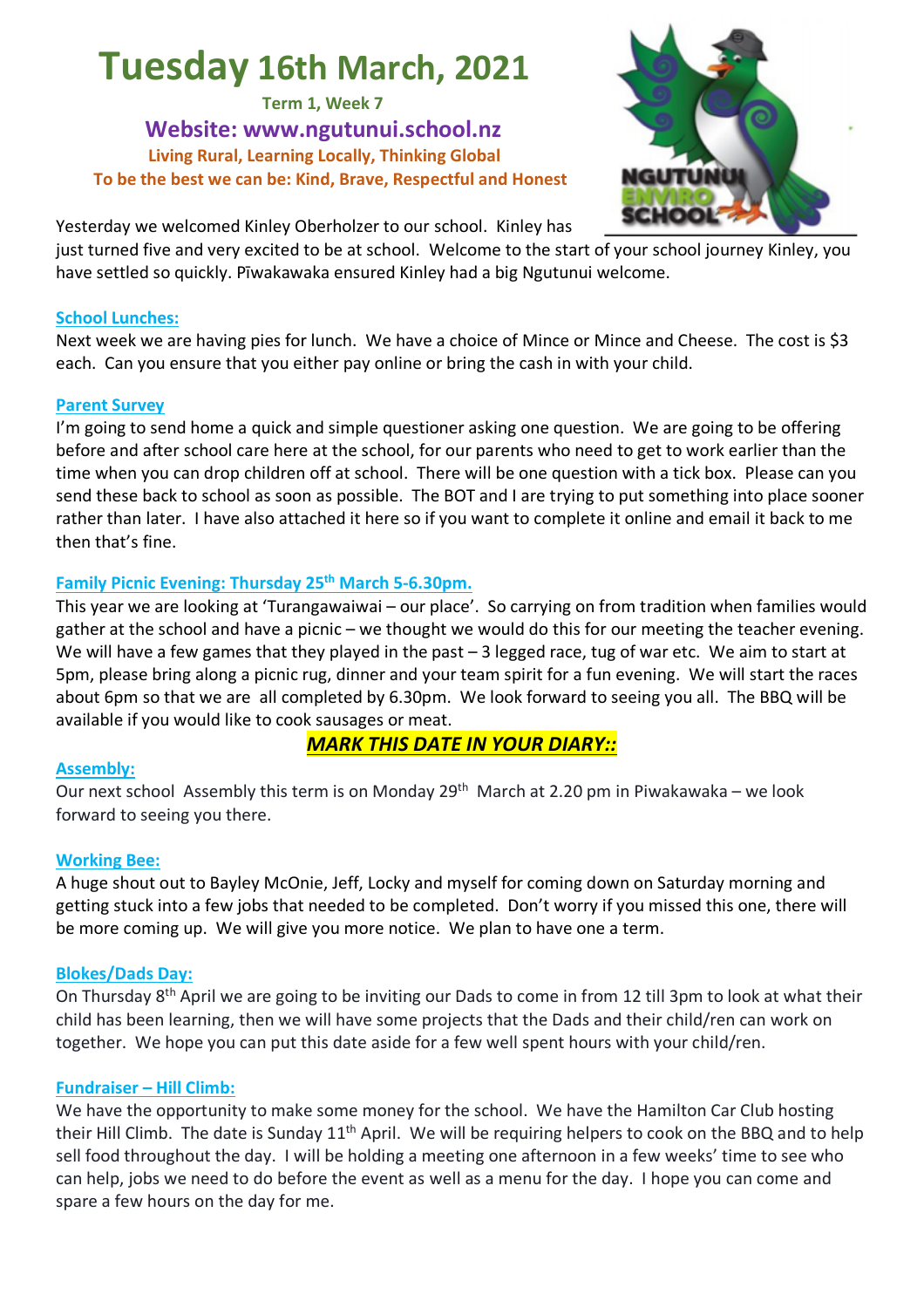# **Tuesday 16th March, 2021**

**Term 1, Week 7 Website: www.ngutunui.school.nz Living Rural, Learning Locally, Thinking Global To be the best we can be: Kind, Brave, Respectful and Honest**



Yesterday we welcomed Kinley Oberholzer to our school. Kinley has

just turned five and very excited to be at school. Welcome to the start of your school journey Kinley, you have settled so quickly. Pīwakawaka ensured Kinley had a big Ngutunui welcome.

#### **School Lunches:**

Next week we are having pies for lunch. We have a choice of Mince or Mince and Cheese. The cost is \$3 each. Can you ensure that you either pay online or bring the cash in with your child.

#### **Parent Survey**

I'm going to send home a quick and simple questioner asking one question. We are going to be offering before and after school care here at the school, for our parents who need to get to work earlier than the time when you can drop children off at school. There will be one question with a tick box. Please can you send these back to school as soon as possible. The BOT and I are trying to put something into place sooner rather than later. I have also attached it here so if you want to complete it online and email it back to me then that's fine.

#### **Family Picnic Evening: Thursday 25th March 5-6.30pm.**

This year we are looking at 'Turangawaiwai – our place'. So carrying on from tradition when families would gather at the school and have a picnic – we thought we would do this for our meeting the teacher evening. We will have a few games that they played in the past – 3 legged race, tug of war etc. We aim to start at 5pm, please bring along a picnic rug, dinner and your team spirit for a fun evening. We will start the races about 6pm so that we are all completed by 6.30pm. We look forward to seeing you all. The BBQ will be available if you would like to cook sausages or meat.

### *MARK THIS DATE IN YOUR DIARY::*

#### **Assembly:**

Our next school Assembly this term is on Monday  $29<sup>th</sup>$  March at 2.20 pm in Piwakawaka – we look forward to seeing you there.

#### **Working Bee:**

A huge shout out to Bayley McOnie, Jeff, Locky and myself for coming down on Saturday morning and getting stuck into a few jobs that needed to be completed. Don't worry if you missed this one, there will be more coming up. We will give you more notice. We plan to have one a term.

#### **Blokes/Dads Day:**

On Thursday 8th April we are going to be inviting our Dads to come in from 12 till 3pm to look at what their child has been learning, then we will have some projects that the Dads and their child/ren can work on together. We hope you can put this date aside for a few well spent hours with your child/ren.

#### **Fundraiser – Hill Climb:**

We have the opportunity to make some money for the school. We have the Hamilton Car Club hosting their Hill Climb. The date is Sunday 11<sup>th</sup> April. We will be requiring helpers to cook on the BBQ and to help sell food throughout the day. I will be holding a meeting one afternoon in a few weeks' time to see who can help, jobs we need to do before the event as well as a menu for the day. I hope you can come and spare a few hours on the day for me.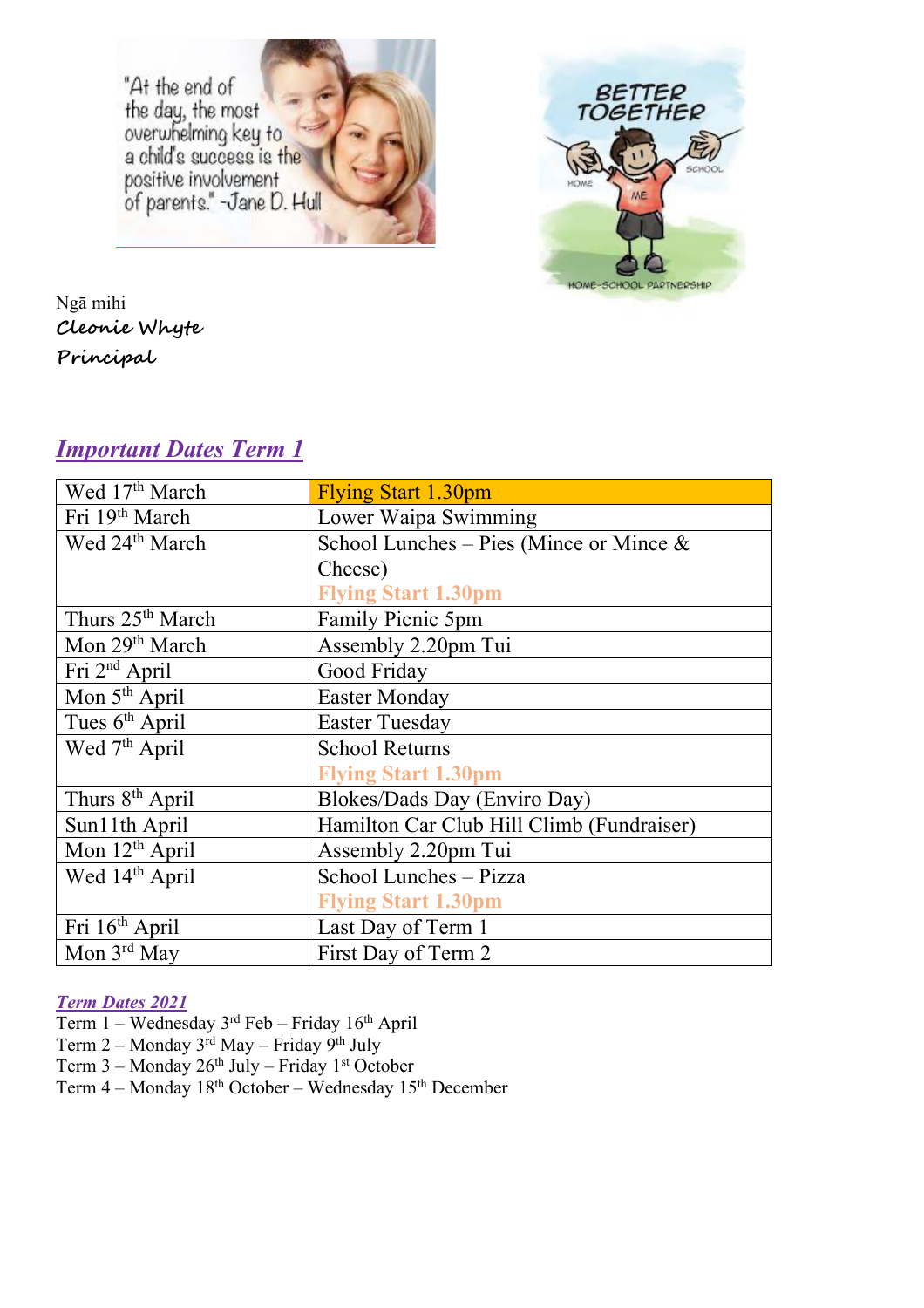"At the end of the day, the most a child's success is the positive involvement of parents." -Jane D. Hull



Ngā mihi **Cleonie Whyte Principal** 

## *Important Dates Term 1*

| Wed 17 <sup>th</sup> March   | <b>Flying Start 1.30pm</b>                 |  |
|------------------------------|--------------------------------------------|--|
| Fri 19th March               | Lower Waipa Swimming                       |  |
| Wed 24 <sup>th</sup> March   | School Lunches – Pies (Mince or Mince $\&$ |  |
|                              | Cheese)                                    |  |
|                              | <b>Flying Start 1.30pm</b>                 |  |
| Thurs 25 <sup>th</sup> March | Family Picnic 5pm                          |  |
| Mon 29 <sup>th</sup> March   | Assembly 2.20pm Tui                        |  |
| Fri $2nd$ April              | Good Friday                                |  |
| Mon $5th$ April              | <b>Easter Monday</b>                       |  |
| Tues 6 <sup>th</sup> April   | <b>Easter Tuesday</b>                      |  |
| Wed 7 <sup>th</sup> April    | <b>School Returns</b>                      |  |
|                              | <b>Flying Start 1.30pm</b>                 |  |
| Thurs 8 <sup>th</sup> April  | Blokes/Dads Day (Enviro Day)               |  |
| Sun11th April                | Hamilton Car Club Hill Climb (Fundraiser)  |  |
| Mon 12 <sup>th</sup> April   | Assembly 2.20pm Tui                        |  |
| Wed 14th April               | School Lunches - Pizza                     |  |
|                              | <b>Flying Start 1.30pm</b>                 |  |
| Fri 16 <sup>th</sup> April   | Last Day of Term 1                         |  |
| Mon $3rd$ May                | First Day of Term 2                        |  |

*Term Dates 2021*

Term 1 – Wednesday 3<sup>rd</sup> Feb – Friday 16<sup>th</sup> April

Term 2 – Monday 3rd May – Friday 9th July

Term 3 – Monday 26<sup>th</sup> July – Friday 1<sup>st</sup> October

Term 4 – Monday 18<sup>th</sup> October – Wednesday 15<sup>th</sup> December